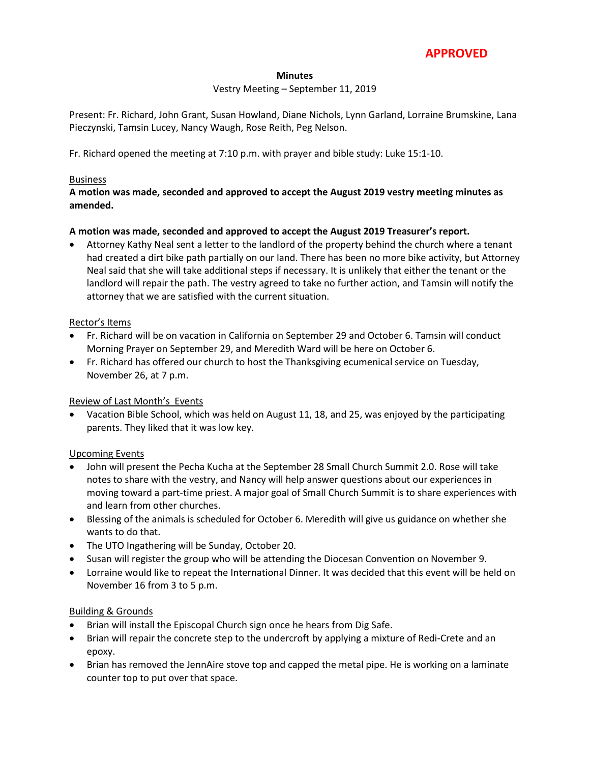# **APPROVED**

#### **Minutes**

#### Vestry Meeting – September 11, 2019

Present: Fr. Richard, John Grant, Susan Howland, Diane Nichols, Lynn Garland, Lorraine Brumskine, Lana Pieczynski, Tamsin Lucey, Nancy Waugh, Rose Reith, Peg Nelson.

Fr. Richard opened the meeting at 7:10 p.m. with prayer and bible study: Luke 15:1-10.

#### Business

### **A motion was made, seconded and approved to accept the August 2019 vestry meeting minutes as amended.**

#### **A motion was made, seconded and approved to accept the August 2019 Treasurer's report.**

 Attorney Kathy Neal sent a letter to the landlord of the property behind the church where a tenant had created a dirt bike path partially on our land. There has been no more bike activity, but Attorney Neal said that she will take additional steps if necessary. It is unlikely that either the tenant or the landlord will repair the path. The vestry agreed to take no further action, and Tamsin will notify the attorney that we are satisfied with the current situation.

#### Rector's Items

- Fr. Richard will be on vacation in California on September 29 and October 6. Tamsin will conduct Morning Prayer on September 29, and Meredith Ward will be here on October 6.
- Fr. Richard has offered our church to host the Thanksgiving ecumenical service on Tuesday, November 26, at 7 p.m.

#### Review of Last Month's Events

 Vacation Bible School, which was held on August 11, 18, and 25, was enjoyed by the participating parents. They liked that it was low key.

#### Upcoming Events

- John will present the Pecha Kucha at the September 28 Small Church Summit 2.0. Rose will take notes to share with the vestry, and Nancy will help answer questions about our experiences in moving toward a part-time priest. A major goal of Small Church Summit is to share experiences with and learn from other churches.
- Blessing of the animals is scheduled for October 6. Meredith will give us guidance on whether she wants to do that.
- The UTO Ingathering will be Sunday, October 20.
- Susan will register the group who will be attending the Diocesan Convention on November 9.
- Lorraine would like to repeat the International Dinner. It was decided that this event will be held on November 16 from 3 to 5 p.m.

#### Building & Grounds

- Brian will install the Episcopal Church sign once he hears from Dig Safe.
- Brian will repair the concrete step to the undercroft by applying a mixture of Redi-Crete and an epoxy.
- Brian has removed the JennAire stove top and capped the metal pipe. He is working on a laminate counter top to put over that space.